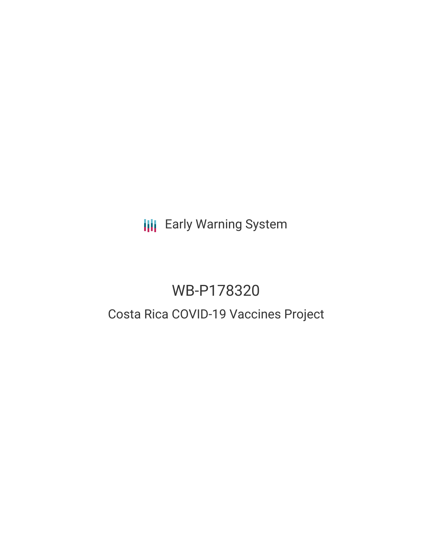**III** Early Warning System

# WB-P178320

# Costa Rica COVID-19 Vaccines Project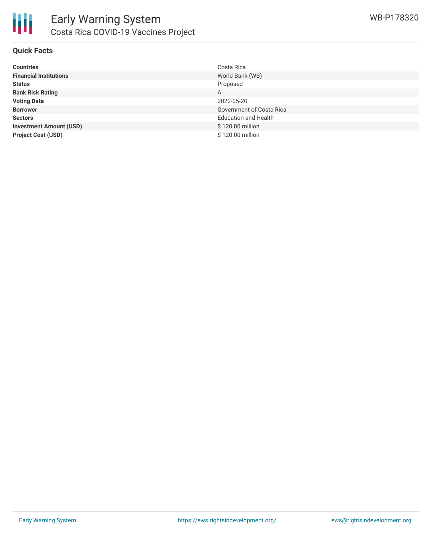

### **Quick Facts**

| <b>Countries</b>               | Costa Rica                  |
|--------------------------------|-----------------------------|
| <b>Financial Institutions</b>  | World Bank (WB)             |
| <b>Status</b>                  | Proposed                    |
| <b>Bank Risk Rating</b>        | A                           |
| <b>Voting Date</b>             | 2022-05-20                  |
| <b>Borrower</b>                | Government of Costa Rica    |
| <b>Sectors</b>                 | <b>Education and Health</b> |
| <b>Investment Amount (USD)</b> | \$120.00 million            |
| <b>Project Cost (USD)</b>      | \$120.00 million            |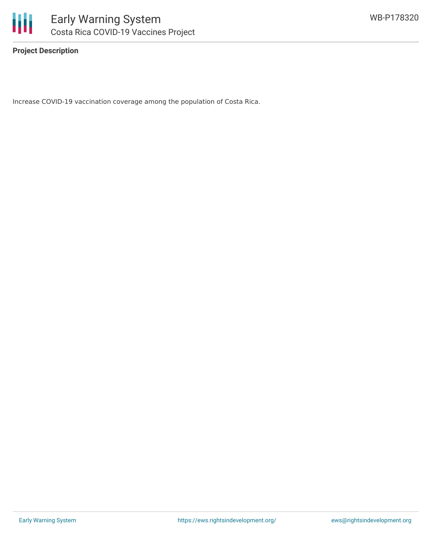

**Project Description**

Increase COVID-19 vaccination coverage among the population of Costa Rica.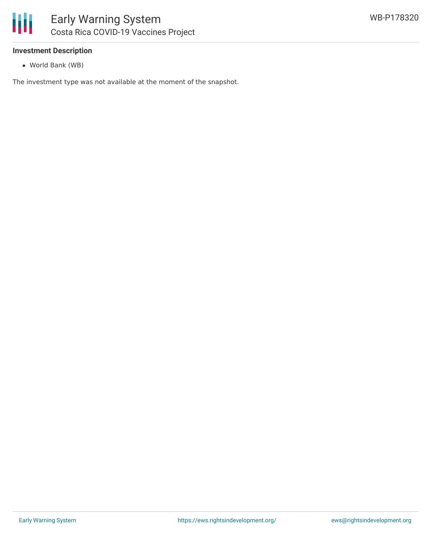#### **Investment Description**

World Bank (WB)

The investment type was not available at the moment of the snapshot.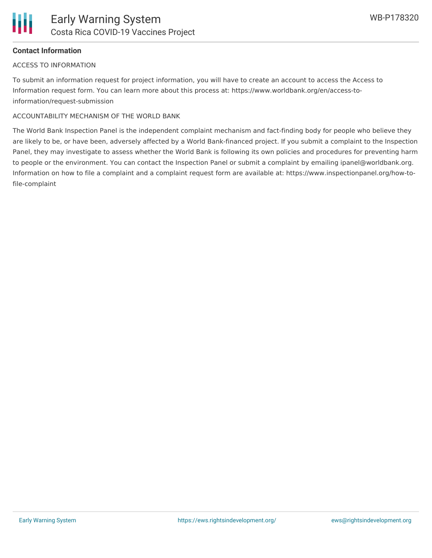

### **Contact Information**

#### ACCESS TO INFORMATION

To submit an information request for project information, you will have to create an account to access the Access to Information request form. You can learn more about this process at: https://www.worldbank.org/en/access-toinformation/request-submission

#### ACCOUNTABILITY MECHANISM OF THE WORLD BANK

The World Bank Inspection Panel is the independent complaint mechanism and fact-finding body for people who believe they are likely to be, or have been, adversely affected by a World Bank-financed project. If you submit a complaint to the Inspection Panel, they may investigate to assess whether the World Bank is following its own policies and procedures for preventing harm to people or the environment. You can contact the Inspection Panel or submit a complaint by emailing ipanel@worldbank.org. Information on how to file a complaint and a complaint request form are available at: https://www.inspectionpanel.org/how-tofile-complaint